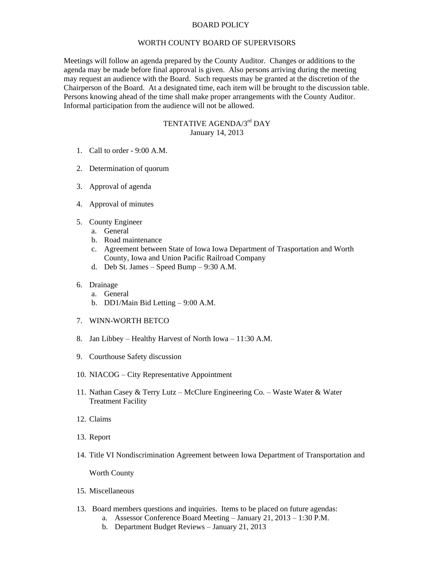## BOARD POLICY

## WORTH COUNTY BOARD OF SUPERVISORS

Meetings will follow an agenda prepared by the County Auditor. Changes or additions to the agenda may be made before final approval is given. Also persons arriving during the meeting may request an audience with the Board. Such requests may be granted at the discretion of the Chairperson of the Board. At a designated time, each item will be brought to the discussion table. Persons knowing ahead of the time shall make proper arrangements with the County Auditor. Informal participation from the audience will not be allowed.

## TENTATIVE AGENDA/3<sup>rd</sup> DAY January 14, 2013

- 1. Call to order 9:00 A.M.
- 2. Determination of quorum
- 3. Approval of agenda
- 4. Approval of minutes
- 5. County Engineer
	- a. General
	- b. Road maintenance
	- c. Agreement between State of Iowa Iowa Department of Trasportation and Worth County, Iowa and Union Pacific Railroad Company
	- d. Deb St. James Speed Bump 9:30 A.M.

## 6. Drainage

- a. General
- b. DD1/Main Bid Letting 9:00 A.M.
- 7. WINN-WORTH BETCO
- 8. Jan Libbey Healthy Harvest of North Iowa 11:30 A.M.
- 9. Courthouse Safety discussion
- 10. NIACOG City Representative Appointment
- 11. Nathan Casey & Terry Lutz McClure Engineering Co. Waste Water & Water Treatment Facility
- 12. Claims
- 13. Report
- 14. Title VI Nondiscrimination Agreement between Iowa Department of Transportation and

Worth County

- 15. Miscellaneous
- 13. Board members questions and inquiries. Items to be placed on future agendas:
	- a. Assessor Conference Board Meeting January 21, 2013 1:30 P.M.
	- b. Department Budget Reviews January 21, 2013